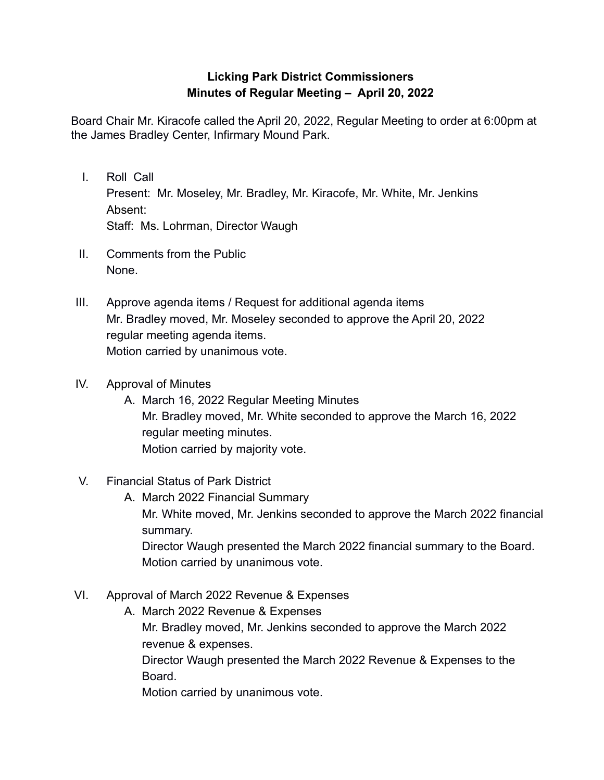## **Licking Park District Commissioners Minutes of Regular Meeting – April 20, 2022**

Board Chair Mr. Kiracofe called the April 20, 2022, Regular Meeting to order at 6:00pm at the James Bradley Center, Infirmary Mound Park.

- I. Roll Call Present: Mr. Moseley, Mr. Bradley, Mr. Kiracofe, Mr. White, Mr. Jenkins Absent: Staff: Ms. Lohrman, Director Waugh
- II. Comments from the Public None.
- III. Approve agenda items / Request for additional agenda items Mr. Bradley moved, Mr. Moseley seconded to approve the April 20, 2022 regular meeting agenda items. Motion carried by unanimous vote.
- IV. Approval of Minutes
	- A. March 16, 2022 Regular Meeting Minutes Mr. Bradley moved, Mr. White seconded to approve the March 16, 2022 regular meeting minutes. Motion carried by majority vote.
- V. Financial Status of Park District
	- A. March 2022 Financial Summary Mr. White moved, Mr. Jenkins seconded to approve the March 2022 financial summary. Director Waugh presented the March 2022 financial summary to the Board. Motion carried by unanimous vote.
- VI. Approval of March 2022 Revenue & Expenses
	- A. March 2022 Revenue & Expenses Mr. Bradley moved, Mr. Jenkins seconded to approve the March 2022 revenue & expenses. Director Waugh presented the March 2022 Revenue & Expenses to the Board. Motion carried by unanimous vote.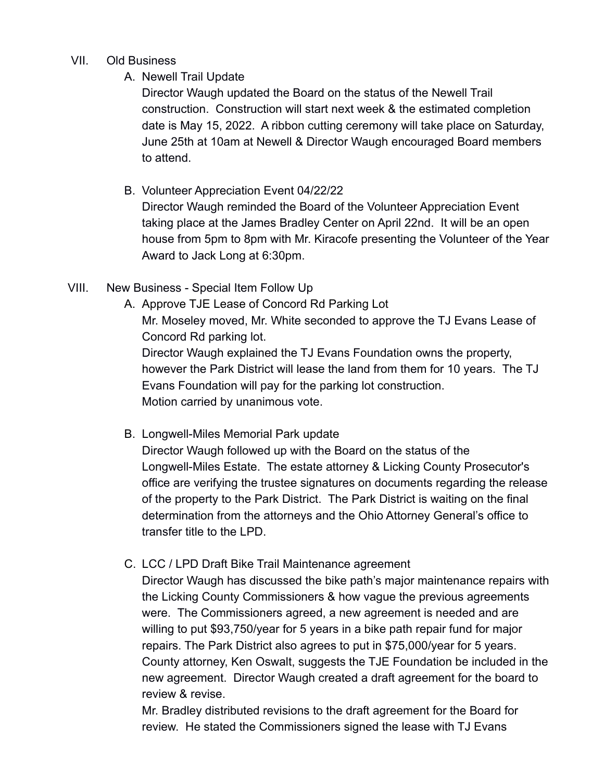## VII. Old Business

A. Newell Trail Update

Director Waugh updated the Board on the status of the Newell Trail construction. Construction will start next week & the estimated completion date is May 15, 2022. A ribbon cutting ceremony will take place on Saturday, June 25th at 10am at Newell & Director Waugh encouraged Board members to attend.

B. Volunteer Appreciation Event 04/22/22

Director Waugh reminded the Board of the Volunteer Appreciation Event taking place at the James Bradley Center on April 22nd. It will be an open house from 5pm to 8pm with Mr. Kiracofe presenting the Volunteer of the Year Award to Jack Long at 6:30pm.

- VIII. New Business Special Item Follow Up
	- A. Approve TJE Lease of Concord Rd Parking Lot Mr. Moseley moved, Mr. White seconded to approve the TJ Evans Lease of Concord Rd parking lot. Director Waugh explained the TJ Evans Foundation owns the property, however the Park District will lease the land from them for 10 years. The TJ Evans Foundation will pay for the parking lot construction. Motion carried by unanimous vote.
	- B. Longwell-Miles Memorial Park update

Director Waugh followed up with the Board on the status of the Longwell-Miles Estate. The estate attorney & Licking County Prosecutor's office are verifying the trustee signatures on documents regarding the release of the property to the Park District. The Park District is waiting on the final determination from the attorneys and the Ohio Attorney General's office to transfer title to the LPD.

C. LCC / LPD Draft Bike Trail Maintenance agreement

Director Waugh has discussed the bike path's major maintenance repairs with the Licking County Commissioners & how vague the previous agreements were. The Commissioners agreed, a new agreement is needed and are willing to put \$93,750/year for 5 years in a bike path repair fund for major repairs. The Park District also agrees to put in \$75,000/year for 5 years. County attorney, Ken Oswalt, suggests the TJE Foundation be included in the new agreement. Director Waugh created a draft agreement for the board to review & revise.

Mr. Bradley distributed revisions to the draft agreement for the Board for review. He stated the Commissioners signed the lease with TJ Evans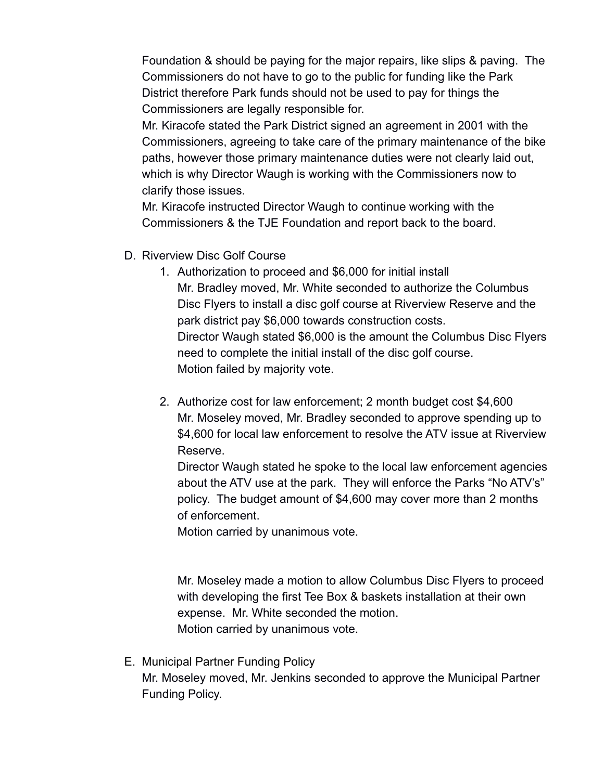Foundation & should be paying for the major repairs, like slips & paving. The Commissioners do not have to go to the public for funding like the Park District therefore Park funds should not be used to pay for things the Commissioners are legally responsible for.

Mr. Kiracofe stated the Park District signed an agreement in 2001 with the Commissioners, agreeing to take care of the primary maintenance of the bike paths, however those primary maintenance duties were not clearly laid out, which is why Director Waugh is working with the Commissioners now to clarify those issues.

Mr. Kiracofe instructed Director Waugh to continue working with the Commissioners & the TJE Foundation and report back to the board.

- D. Riverview Disc Golf Course
	- 1. Authorization to proceed and \$6,000 for initial install Mr. Bradley moved, Mr. White seconded to authorize the Columbus Disc Flyers to install a disc golf course at Riverview Reserve and the park district pay \$6,000 towards construction costs. Director Waugh stated \$6,000 is the amount the Columbus Disc Flyers need to complete the initial install of the disc golf course. Motion failed by majority vote.
	- 2. Authorize cost for law enforcement; 2 month budget cost \$4,600 Mr. Moseley moved, Mr. Bradley seconded to approve spending up to \$4,600 for local law enforcement to resolve the ATV issue at Riverview Reserve.

Director Waugh stated he spoke to the local law enforcement agencies about the ATV use at the park. They will enforce the Parks "No ATV's" policy. The budget amount of \$4,600 may cover more than 2 months of enforcement.

Motion carried by unanimous vote.

Mr. Moseley made a motion to allow Columbus Disc Flyers to proceed with developing the first Tee Box & baskets installation at their own expense. Mr. White seconded the motion. Motion carried by unanimous vote.

E. Municipal Partner Funding Policy Mr. Moseley moved, Mr. Jenkins seconded to approve the Municipal Partner Funding Policy.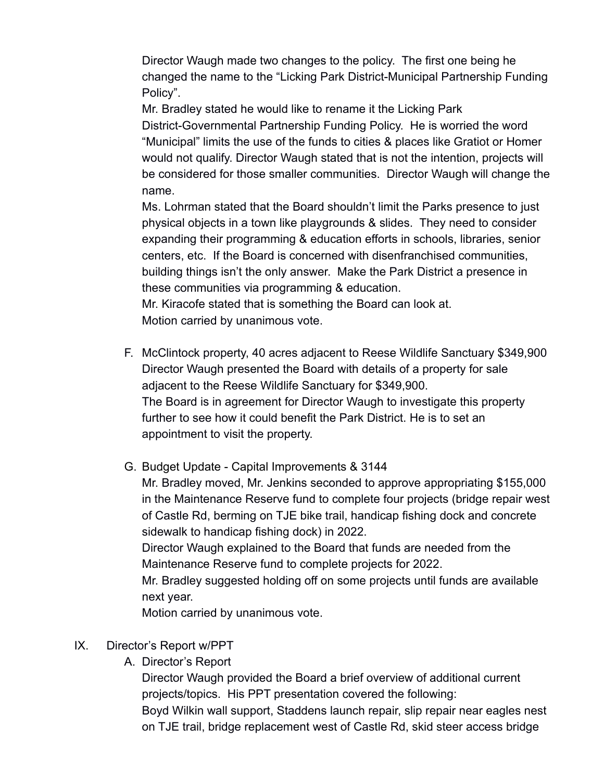Director Waugh made two changes to the policy. The first one being he changed the name to the "Licking Park District-Municipal Partnership Funding Policy".

Mr. Bradley stated he would like to rename it the Licking Park District-Governmental Partnership Funding Policy. He is worried the word "Municipal" limits the use of the funds to cities & places like Gratiot or Homer would not qualify. Director Waugh stated that is not the intention, projects will be considered for those smaller communities. Director Waugh will change the name.

Ms. Lohrman stated that the Board shouldn't limit the Parks presence to just physical objects in a town like playgrounds & slides. They need to consider expanding their programming & education efforts in schools, libraries, senior centers, etc. If the Board is concerned with disenfranchised communities, building things isn't the only answer. Make the Park District a presence in these communities via programming & education.

Mr. Kiracofe stated that is something the Board can look at. Motion carried by unanimous vote.

- F. McClintock property, 40 acres adjacent to Reese Wildlife Sanctuary \$349,900 Director Waugh presented the Board with details of a property for sale adjacent to the Reese Wildlife Sanctuary for \$349,900. The Board is in agreement for Director Waugh to investigate this property further to see how it could benefit the Park District. He is to set an appointment to visit the property.
- G. Budget Update Capital Improvements & 3144 Mr. Bradley moved, Mr. Jenkins seconded to approve appropriating \$155,000 in the Maintenance Reserve fund to complete four projects (bridge repair west of Castle Rd, berming on TJE bike trail, handicap fishing dock and concrete sidewalk to handicap fishing dock) in 2022. Director Waugh explained to the Board that funds are needed from the Maintenance Reserve fund to complete projects for 2022. Mr. Bradley suggested holding off on some projects until funds are available next year. Motion carried by unanimous vote.
- IX. Director's Report w/PPT
	- A. Director's Report

Director Waugh provided the Board a brief overview of additional current projects/topics. His PPT presentation covered the following: Boyd Wilkin wall support, Staddens launch repair, slip repair near eagles nest on TJE trail, bridge replacement west of Castle Rd, skid steer access bridge